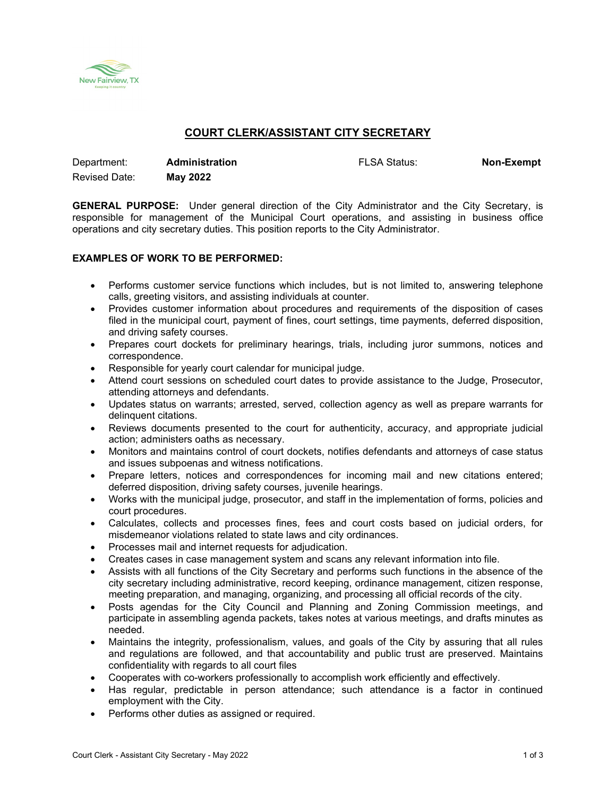

# **COURT CLERK/ASSISTANT CITY SECRETARY**

| Department:          | <b>Administration</b> | <b>FLSA Status:</b> | <b>Non-Exempt</b> |
|----------------------|-----------------------|---------------------|-------------------|
| <b>Revised Date:</b> | May 2022              |                     |                   |

**GENERAL PURPOSE:** Under general direction of the City Administrator and the City Secretary, is responsible for management of the Municipal Court operations, and assisting in business office operations and city secretary duties. This position reports to the City Administrator.

## **EXAMPLES OF WORK TO BE PERFORMED:**

- Performs customer service functions which includes, but is not limited to, answering telephone calls, greeting visitors, and assisting individuals at counter.
- Provides customer information about procedures and requirements of the disposition of cases filed in the municipal court, payment of fines, court settings, time payments, deferred disposition, and driving safety courses.
- Prepares court dockets for preliminary hearings, trials, including juror summons, notices and correspondence.
- Responsible for yearly court calendar for municipal judge.
- Attend court sessions on scheduled court dates to provide assistance to the Judge, Prosecutor, attending attorneys and defendants.
- Updates status on warrants; arrested, served, collection agency as well as prepare warrants for delinquent citations.
- Reviews documents presented to the court for authenticity, accuracy, and appropriate judicial action; administers oaths as necessary.
- Monitors and maintains control of court dockets, notifies defendants and attorneys of case status and issues subpoenas and witness notifications.
- Prepare letters, notices and correspondences for incoming mail and new citations entered; deferred disposition, driving safety courses, juvenile hearings.
- Works with the municipal judge, prosecutor, and staff in the implementation of forms, policies and court procedures.
- Calculates, collects and processes fines, fees and court costs based on judicial orders, for misdemeanor violations related to state laws and city ordinances.
- Processes mail and internet requests for adjudication.
- Creates cases in case management system and scans any relevant information into file.
- Assists with all functions of the City Secretary and performs such functions in the absence of the city secretary including administrative, record keeping, ordinance management, citizen response, meeting preparation, and managing, organizing, and processing all official records of the city.
- Posts agendas for the City Council and Planning and Zoning Commission meetings, and participate in assembling agenda packets, takes notes at various meetings, and drafts minutes as needed.
- Maintains the integrity, professionalism, values, and goals of the City by assuring that all rules and regulations are followed, and that accountability and public trust are preserved. Maintains confidentiality with regards to all court files
- Cooperates with co-workers professionally to accomplish work efficiently and effectively.
- Has regular, predictable in person attendance; such attendance is a factor in continued employment with the City.
- Performs other duties as assigned or required.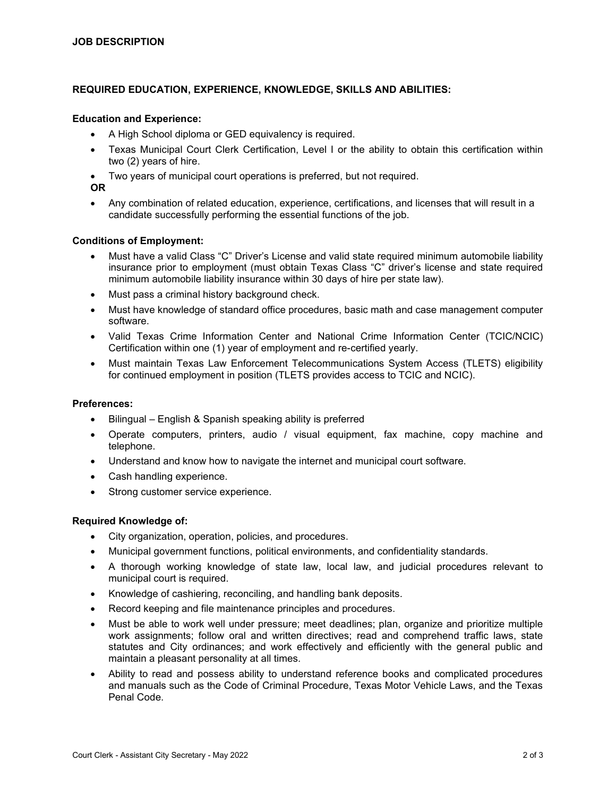### **REQUIRED EDUCATION, EXPERIENCE, KNOWLEDGE, SKILLS AND ABILITIES:**

#### **Education and Experience:**

- A High School diploma or GED equivalency is required.
- Texas Municipal Court Clerk Certification, Level I or the ability to obtain this certification within two (2) years of hire.
- Two years of municipal court operations is preferred, but not required.

**OR** 

• Any combination of related education, experience, certifications, and licenses that will result in a candidate successfully performing the essential functions of the job.

#### **Conditions of Employment:**

- Must have a valid Class "C" Driver's License and valid state required minimum automobile liability insurance prior to employment (must obtain Texas Class "C" driver's license and state required minimum automobile liability insurance within 30 days of hire per state law).
- Must pass a criminal history background check.
- Must have knowledge of standard office procedures, basic math and case management computer software.
- Valid Texas Crime Information Center and National Crime Information Center (TCIC/NCIC) Certification within one (1) year of employment and re-certified yearly.
- Must maintain Texas Law Enforcement Telecommunications System Access (TLETS) eligibility for continued employment in position (TLETS provides access to TCIC and NCIC).

# **Preferences:**

- Bilingual English & Spanish speaking ability is preferred
- Operate computers, printers, audio / visual equipment, fax machine, copy machine and telephone.
- Understand and know how to navigate the internet and municipal court software.
- Cash handling experience.
- Strong customer service experience.

#### **Required Knowledge of:**

- City organization, operation, policies, and procedures.
- Municipal government functions, political environments, and confidentiality standards.
- A thorough working knowledge of state law, local law, and judicial procedures relevant to municipal court is required.
- Knowledge of cashiering, reconciling, and handling bank deposits.
- Record keeping and file maintenance principles and procedures.
- Must be able to work well under pressure; meet deadlines; plan, organize and prioritize multiple work assignments; follow oral and written directives; read and comprehend traffic laws, state statutes and City ordinances; and work effectively and efficiently with the general public and maintain a pleasant personality at all times.
- Ability to read and possess ability to understand reference books and complicated procedures and manuals such as the Code of Criminal Procedure, Texas Motor Vehicle Laws, and the Texas Penal Code.